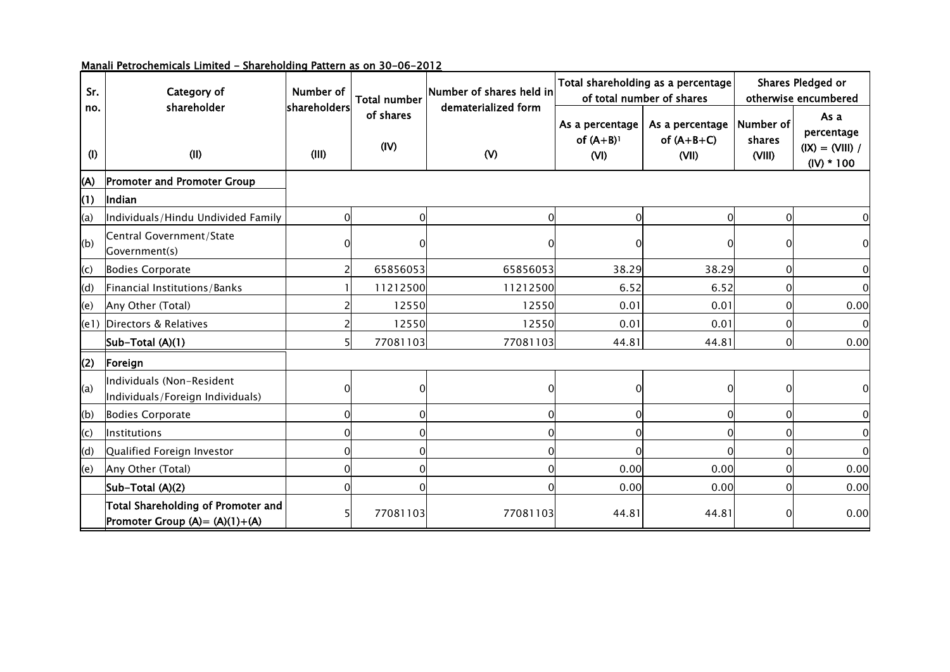| Sr.        | Category of                                                             | Number of             | Total number      | Number of shares held in            |                                                    | Total shareholding as a percentage<br>of total number of shares | Shares Pledged or<br>otherwise encumbered |                                                         |  |
|------------|-------------------------------------------------------------------------|-----------------------|-------------------|-------------------------------------|----------------------------------------------------|-----------------------------------------------------------------|-------------------------------------------|---------------------------------------------------------|--|
| no.<br>(1) | shareholder<br>(II)                                                     | shareholders<br>(III) | of shares<br>(IV) | dematerialized form<br>$\mathsf{W}$ | As a percentage<br>of $(A+B)$ <sup>1</sup><br>(VI) | As a percentage<br>of $(A+B+C)$<br>(VII)                        | Number of<br>shares<br>(VIII)             | As a<br>percentage<br>$(IX) = (VIII) /$<br>$(IV) * 100$ |  |
| (A)        | <b>Promoter and Promoter Group</b>                                      |                       |                   |                                     |                                                    |                                                                 |                                           |                                                         |  |
| (1)        | Indian                                                                  |                       |                   |                                     |                                                    |                                                                 |                                           |                                                         |  |
| (a)        | Individuals/Hindu Undivided Family                                      |                       | $\Omega$          | $\Omega$                            | $\Omega$                                           | ∩                                                               | $\Omega$                                  | $\mathbf 0$                                             |  |
| (b)        | Central Government/State<br>Government(s)                               |                       |                   |                                     |                                                    |                                                                 |                                           | $\mathbf 0$                                             |  |
| (c)        | <b>Bodies Corporate</b>                                                 |                       | 65856053          | 65856053                            | 38.29                                              | 38.29                                                           | $\Omega$                                  | $\mathbf 0$                                             |  |
| (d)        | Financial Institutions/Banks                                            |                       | 11212500          | 11212500                            | 6.52                                               | 6.52                                                            | O                                         | $\mathbf 0$                                             |  |
| (e)        | Any Other (Total)                                                       |                       | 12550             | 12550                               | 0.01                                               | 0.01                                                            | O                                         | 0.00                                                    |  |
| (e1)       | Directors & Relatives                                                   |                       | 12550             | 12550                               | 0.01                                               | 0.01                                                            | 0                                         | $\mathbf 0$                                             |  |
|            | Sub-Total (A)(1)                                                        |                       | 77081103          | 77081103                            | 44.81                                              | 44.81                                                           | $\Omega$                                  | 0.00                                                    |  |
| (2)        | Foreign                                                                 |                       |                   |                                     |                                                    |                                                                 |                                           |                                                         |  |
| (a)        | Individuals (Non-Resident<br>Individuals/Foreign Individuals)           |                       | $\Omega$          | O                                   |                                                    | 0                                                               | ∩                                         | 0                                                       |  |
| (b)        | <b>Bodies Corporate</b>                                                 | ი                     | 0                 | $\Omega$                            | $\Omega$                                           | $\Omega$                                                        | O                                         | $\mathbf 0$                                             |  |
| (c)        | <b>Institutions</b>                                                     |                       | 0                 | $\Omega$                            | $\Omega$                                           | ∩                                                               |                                           | 0                                                       |  |
| (d)        | Qualified Foreign Investor                                              |                       | $\Omega$          | $\Omega$                            |                                                    |                                                                 |                                           | $\mathbf 0$                                             |  |
| (e)        | Any Other (Total)                                                       |                       | $\Omega$          | $\mathbf 0$                         | 0.00                                               | 0.00                                                            |                                           | 0.00                                                    |  |
|            | Sub-Total (A)(2)                                                        |                       | $\Omega$          | $\Omega$                            | 0.00                                               | 0.00                                                            |                                           | 0.00                                                    |  |
|            | Total Shareholding of Promoter and<br>Promoter Group $(A) = (A)(1)+(A)$ |                       | 77081103          | 77081103                            | 44.81                                              | 44.81                                                           |                                           | 0.00                                                    |  |

## Manali Petrochemicals Limited - Shareholding Pattern as on 30-06-2012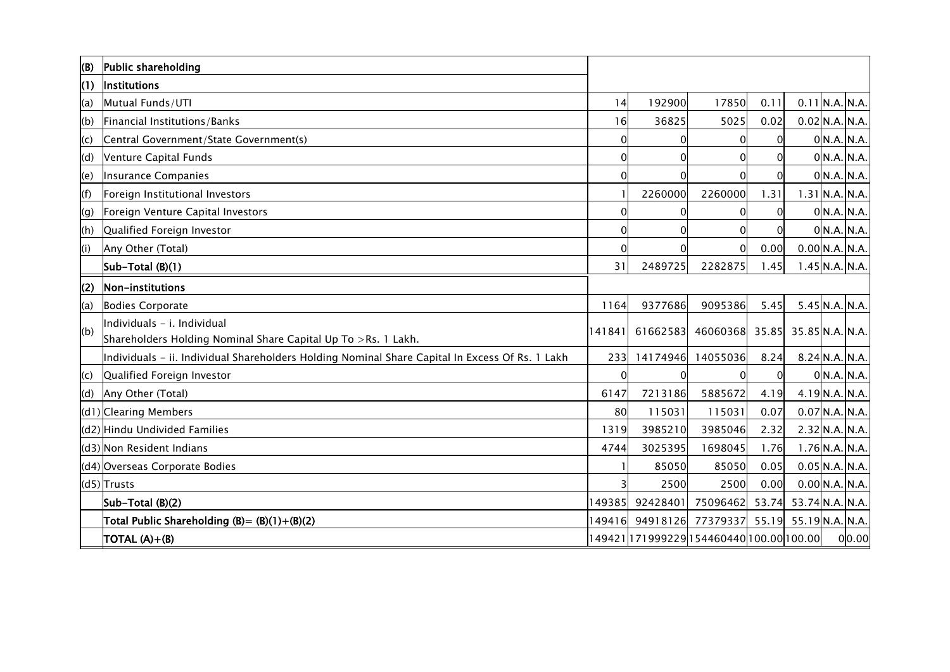| (B) | Public shareholding                                                                             |          |                                          |                   |          |                       |                  |
|-----|-------------------------------------------------------------------------------------------------|----------|------------------------------------------|-------------------|----------|-----------------------|------------------|
| (1) | <b>Institutions</b>                                                                             |          |                                          |                   |          |                       |                  |
| (a) | Mutual Funds/UTI                                                                                | 14       | 192900                                   | 17850             | 0.11     |                       | $0.11$ N.A. N.A. |
| (b) | Financial Institutions/Banks                                                                    | 16       | 36825                                    | 5025              | 0.02     |                       | $0.02$ N.A. N.A. |
| (c) | Central Government/State Government(s)                                                          | 0        | 0                                        |                   | 0        |                       | 0 N.A. N.A.      |
| (d) | Venture Capital Funds                                                                           | 0        | 0                                        |                   | 0        |                       | 0 N.A. N.A.      |
| (e) | Insurance Companies                                                                             | 0        | $\Omega$                                 |                   | $\Omega$ |                       | 0 N.A. N.A.      |
| (f) | Foreign Institutional Investors                                                                 |          | 2260000                                  | 2260000           | 1.31     |                       | $1.31$ N.A. N.A. |
| (g) | Foreign Venture Capital Investors                                                               | 0        | $\mathbf 0$                              |                   | 0        |                       | 0 N.A. N.A.      |
| (h) | Qualified Foreign Investor                                                                      | 0        | $\Omega$                                 |                   | 0        |                       | 0 N.A. N.A.      |
| (i) | Any Other (Total)                                                                               | $\Omega$ | $\Omega$                                 | $\Omega$          | 0.00     |                       | 0.00 N.A. N.A.   |
|     | Sub-Total (B)(1)                                                                                | 31       | 2489725                                  | 2282875           | 1.45     |                       | $1.45$ N.A. N.A. |
| (2) | Non-institutions                                                                                |          |                                          |                   |          |                       |                  |
| (a) | <b>Bodies Corporate</b>                                                                         | 1164     | 9377686                                  | 9095386           | 5.45     |                       | $5.45$ N.A. N.A. |
| (b) | Individuals - i. Individual                                                                     | 141841   |                                          | 61662583 46060368 | 35.85    | 35.85 N.A. N.A.       |                  |
|     | Shareholders Holding Nominal Share Capital Up To >Rs. 1 Lakh.                                   |          |                                          |                   |          |                       |                  |
|     | Individuals - ii. Individual Shareholders Holding Nominal Share Capital In Excess Of Rs. 1 Lakh | 233      | 14174946                                 | 14055036          | 8.24     |                       | 8.24 N.A. N.A.   |
| (c) | Qualified Foreign Investor                                                                      | $\Omega$ | $\Omega$                                 |                   | $\Omega$ |                       | 0 N.A. N.A.      |
| (d) | Any Other (Total)                                                                               | 6147     | 7213186                                  | 5885672           | 4.19     |                       | 4.19 N.A. N.A.   |
|     | (d1) Clearing Members                                                                           | 80       | 115031                                   | 115031            | 0.07     |                       | $0.07$ N.A. N.A. |
|     | (d2) Hindu Undivided Families                                                                   | 1319     | 3985210                                  | 3985046           | 2.32     |                       | $2.32$ N.A. N.A. |
|     | (d3) Non Resident Indians                                                                       | 4744     | 3025395                                  | 1698045           | 1.76     |                       | $1.76$ N.A. N.A. |
|     | (d4) Overseas Corporate Bodies                                                                  |          | 85050                                    | 85050             | 0.05     |                       | $0.05$ N.A. N.A. |
|     | (d5) Trusts                                                                                     | 3        | 2500                                     | 2500              | 0.00     |                       | $0.00$ N.A. N.A. |
|     | Sub-Total (B)(2)                                                                                | 149385   | 92428401                                 | 75096462          | 53.74    | 53.74 N.A. N.A.       |                  |
|     | Total Public Shareholding $(B) = (B)(1)+(B)(2)$                                                 | 149416   |                                          | 94918126 77379337 |          | 55.19 55.19 N.A. N.A. |                  |
|     | TOTAL $(A)+(B)$                                                                                 |          | 149421 171999229 154460440 100.00 100.00 |                   |          |                       | 0 0.00           |